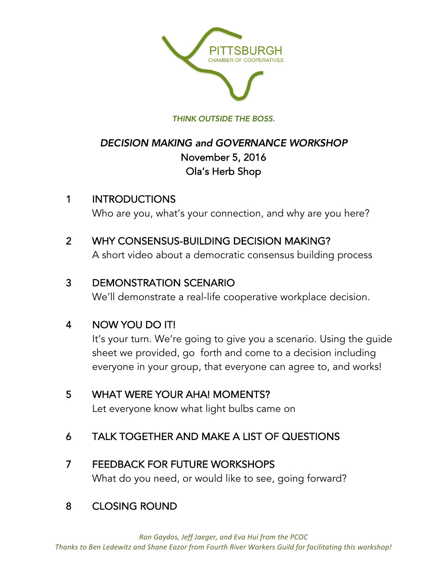

#### *THINK OUTSIDE THE BOSS.*

# *DECISION MAKING and GOVERNANCE WORKSHOP* November 5, 2016 Ola's Herb Shop

## 1 INTRODUCTIONS

Who are you, what's your connection, and why are you here?

## 2 WHY CONSENSUS-BUILDING DECISION MAKING?

A short video about a democratic consensus building process

## 3 DEMONSTRATION SCENARIO

We'll demonstrate a real-life cooperative workplace decision.

# 4 NOW YOU DO IT!

It's your turn. We're going to give you a scenario. Using the guide sheet we provided, go forth and come to a decision including everyone in your group, that everyone can agree to, and works!

## 5 WHAT WERE YOUR AHA! MOMENTS?

Let everyone know what light bulbs came on

# 6 TALK TOGETHER AND MAKE A LIST OF QUESTIONS

# 7 FEEDBACK FOR FUTURE WORKSHOPS

What do you need, or would like to see, going forward?

# 8 CLOSING ROUND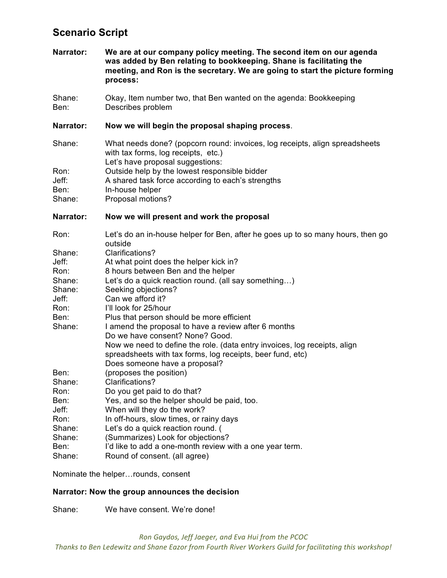### **Scenario Script**

**Narrator: We are at our company policy meeting. The second item on our agenda was added by Ben relating to bookkeeping. Shane is facilitating the meeting, and Ron is the secretary. We are going to start the picture forming process:**

Shane: Okay, Item number two, that Ben wanted on the agenda: Bookkeeping Ben: Describes problem

#### **Narrator: Now we will begin the proposal shaping process**.

| Shane: | What needs done? (popcorn round: invoices, log receipts, align spreadsheets<br>with tax forms, log receipts, etc.)<br>Let's have proposal suggestions: |
|--------|--------------------------------------------------------------------------------------------------------------------------------------------------------|
| Ron:   | Outside help by the lowest responsible bidder                                                                                                          |
| Jeff:  | A shared task force according to each's strengths                                                                                                      |
| Ben:   | In-house helper                                                                                                                                        |
| Shane: | Proposal motions?                                                                                                                                      |

**Narrator: Now we will present and work the proposal**

| Ron:   | Let's do an in-house helper for Ben, after he goes up to so many hours, then go<br>outside |
|--------|--------------------------------------------------------------------------------------------|
| Shane: | Clarifications?                                                                            |
| Jeff:  | At what point does the helper kick in?                                                     |
| Ron:   | 8 hours between Ben and the helper                                                         |
| Shane: | Let's do a quick reaction round. (all say something)                                       |
| Shane: | Seeking objections?                                                                        |
| Jeff:  | Can we afford it?                                                                          |
| Ron:   | I'll look for 25/hour                                                                      |
| Ben:   | Plus that person should be more efficient                                                  |
| Shane: | I amend the proposal to have a review after 6 months                                       |
|        | Do we have consent? None? Good.                                                            |
|        | Now we need to define the role. (data entry invoices, log receipts, align                  |
|        | spreadsheets with tax forms, log receipts, beer fund, etc)                                 |
|        | Does someone have a proposal?                                                              |
| Ben:   | (proposes the position)                                                                    |
| Shane: | Clarifications?                                                                            |
| Ron:   | Do you get paid to do that?                                                                |
| Ben:   | Yes, and so the helper should be paid, too.                                                |
| Jeff:  | When will they do the work?                                                                |
| Ron:   | In off-hours, slow times, or rainy days                                                    |
| Shane: | Let's do a quick reaction round. (                                                         |
| Shane: | (Summarizes) Look for objections?                                                          |
| Ben:   | I'd like to add a one-month review with a one year term.                                   |
| Shane: | Round of consent. (all agree)                                                              |

Nominate the helper…rounds, consent

#### **Narrator: Now the group announces the decision**

Shane: We have consent. We're done!